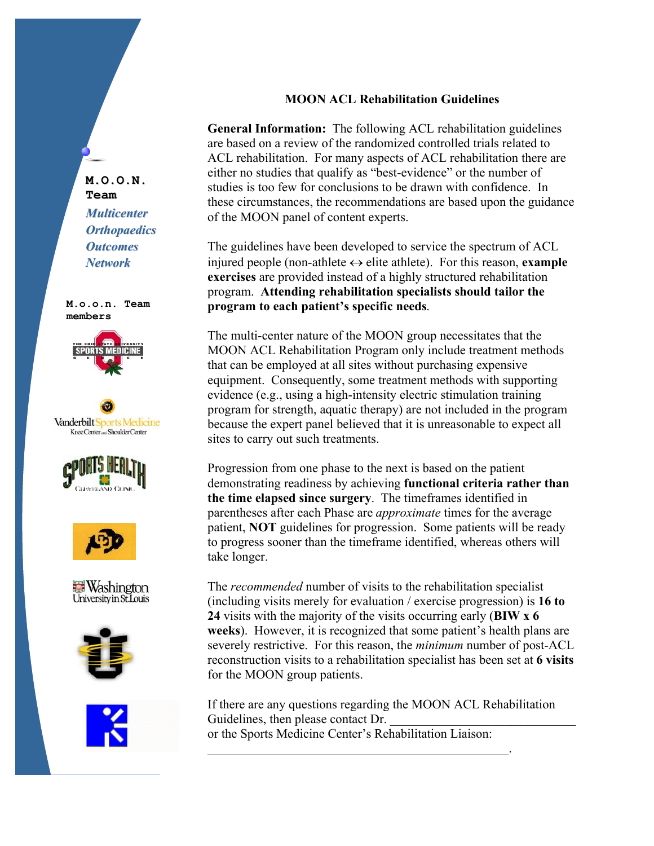## **MOON ACL Rehabilitation Guidelines**

General Information: The following ACL rehabilitation guidelines are based on a review of the randomized controlled trials related to ACL rehabilitation. For many aspects of ACL rehabilitation there are either no studies that qualify as "best-evidence" or the number of studies is too few for conclusions to be drawn with confidence. In these circumstances, the recommendations are based upon the guidance of the MOON panel of content experts.

The guidelines have been developed to service the spectrum of ACL injured people (non-athlete  $\leftrightarrow$  elite athlete). For this reason, example exercises are provided instead of a highly structured rehabilitation program. Attending rehabilitation specialists should tailor the program to each patient's specific needs.

The multi-center nature of the MOON group necessitates that the MOON ACL Rehabilitation Program only include treatment methods that can be employed at all sites without purchasing expensive equipment. Consequently, some treatment methods with supporting evidence (e.g., using a high-intensity electric stimulation training program for strength, aquatic therapy) are not included in the program because the expert panel believed that it is unreasonable to expect all sites to carry out such treatments.

Progression from one phase to the next is based on the patient demonstrating readiness by achieving functional criteria rather than the time elapsed since surgery. The time frames identified in parentheses after each Phase are *approximate* times for the average patient, **NOT** guidelines for progression. Some patients will be ready to progress sooner than the timeframe identified, whereas others will take longer.

The *recommended* number of visits to the rehabilitation specialist (including visits merely for evaluation / exercise progression) is  $16 to$ 24 visits with the majority of the visits occurring early (BIW x 6) weeks). However, it is recognized that some patient's health plans are severely restrictive. For this reason, the *minimum* number of post-ACL reconstruction visits to a rehabilitation specialist has been set at 6 visits for the MOON group patients.

If there are any questions regarding the MOON ACL Rehabilitation Guidelines, then please contact Dr. or the Sports Medicine Center's Rehabilitation Liaison:

M.O.O.N. Team **Multicenter** 

**Orthopaedics Outcomes Network** 

M.o.o.n. Team members













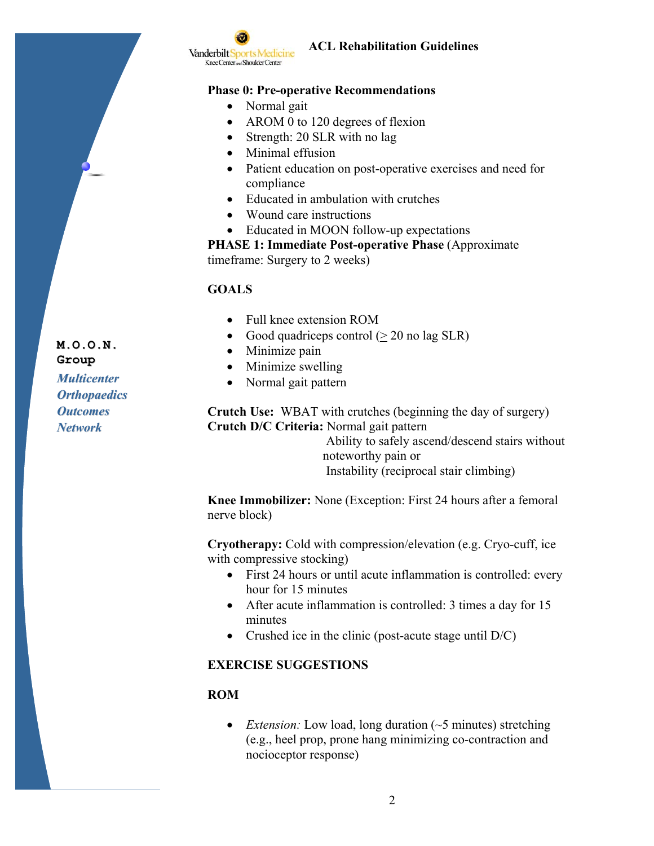

## **ACL Rehabilitation Guidelines**

#### **Phase 0: Pre-operative Recommendations**

- Normal gait
- AROM 0 to 120 degrees of flexion
- Strength: 20 SLR with no lag
- Minimal effusion
- Patient education on post-operative exercises and need for compliance
- Educated in ambulation with crutches
- Wound care instructions
- Educated in MOON follow-up expectations

**PHASE 1: Immediate Post-operative Phase (Approximate)** timeframe: Surgery to 2 weeks)

#### **GOALS**

- $\bullet$  Full knee extension ROM
- Good quadriceps control  $(> 20 \text{ no lag SLR})$
- Minimize pain
- Minimize swelling
- Normal gait pattern

**Crutch Use:** WBAT with crutches (beginning the day of surgery) Crutch D/C Criteria: Normal gait pattern

> Ability to safely ascend/descend stairs without noteworthy pain or Instability (reciprocal stair climbing)

Knee Immobilizer: None (Exception: First 24 hours after a femoral nerve block)

Cryotherapy: Cold with compression/elevation (e.g. Cryo-cuff, ice with compressive stocking)

- First 24 hours or until acute inflammation is controlled: every hour for 15 minutes
- After acute inflammation is controlled: 3 times a day for 15 minutes
- Crushed ice in the clinic (post-acute stage until  $D/C$ )

#### **EXERCISE SUGGESTIONS**

#### **ROM**

• *Extension:* Low load, long duration ( $\sim$ 5 minutes) stretching (e.g., heel prop, prone hang minimizing co-contraction and nocioceptor response)

Group **Multicenter Orthopaedics Outcomes Network** 

M.O.O.N.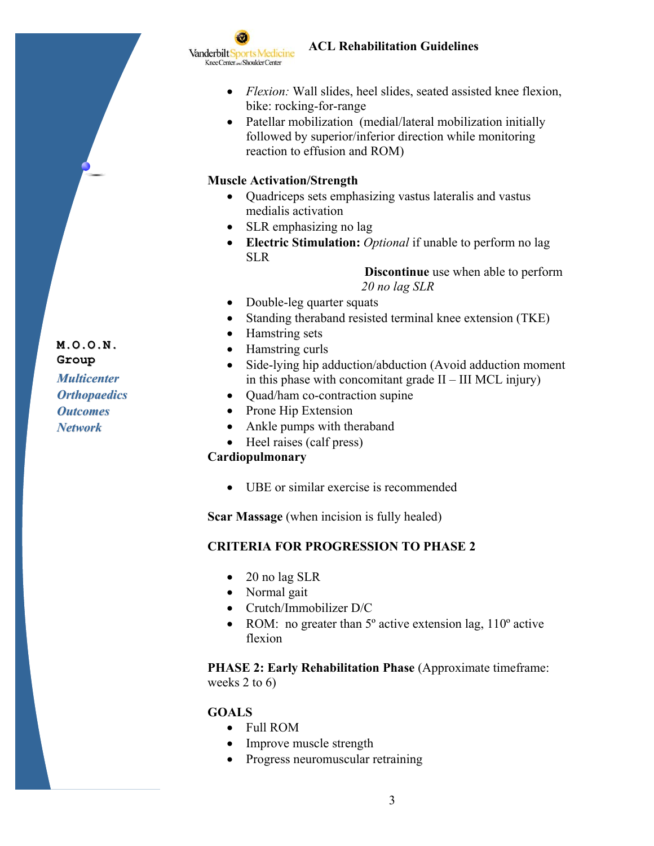

# **ACL Rehabilitation Guidelines**

- Flexion: Wall slides, heel slides, seated assisted knee flexion, bike: rocking-for-range
- Patellar mobilization (medial/lateral mobilization initially followed by superior/inferior direction while monitoring reaction to effusion and ROM)

# **Muscle Activation/Strength**

- Quadriceps sets emphasizing vastus lateralis and vastus medialis activation
- SLR emphasizing no lag
- Electric Stimulation: *Optional* if unable to perform no lag **SLR**

**Discontinue** use when able to perform 20 no lag SLR

- Double-leg quarter squats  $\bullet$
- Standing theraband resisted terminal knee extension (TKE)
- Hamstring sets  $\bullet$
- Hamstring curls
- Side-lying hip adduction/abduction (Avoid adduction moment)  $\bullet$ in this phase with concomitant grade  $II - III$  MCL injury)
- Quad/ham co-contraction supine  $\bullet$
- Prone Hip Extension
- Ankle pumps with theraband
- $\bullet$  Heel raises (calf press)

## Cardiopulmonary

• UBE or similar exercise is recommended

**Scar Massage** (when incision is fully healed)

# **CRITERIA FOR PROGRESSION TO PHASE 2**

- $\bullet$  20 no lag SLR
- Normal gait
- $\bullet$  Crutch/Immobilizer D/C
- ROM: no greater than  $5^{\circ}$  active extension lag,  $110^{\circ}$  active flexion

**PHASE 2: Early Rehabilitation Phase (Approximate timeframe:** weeks 2 to  $6$ )

# **GOALS**

- Full ROM
- Improve muscle strength
- Progress neuromuscular retraining

Group **Multicenter Orthopaedics Outcomes Network** 

M.O.O.N.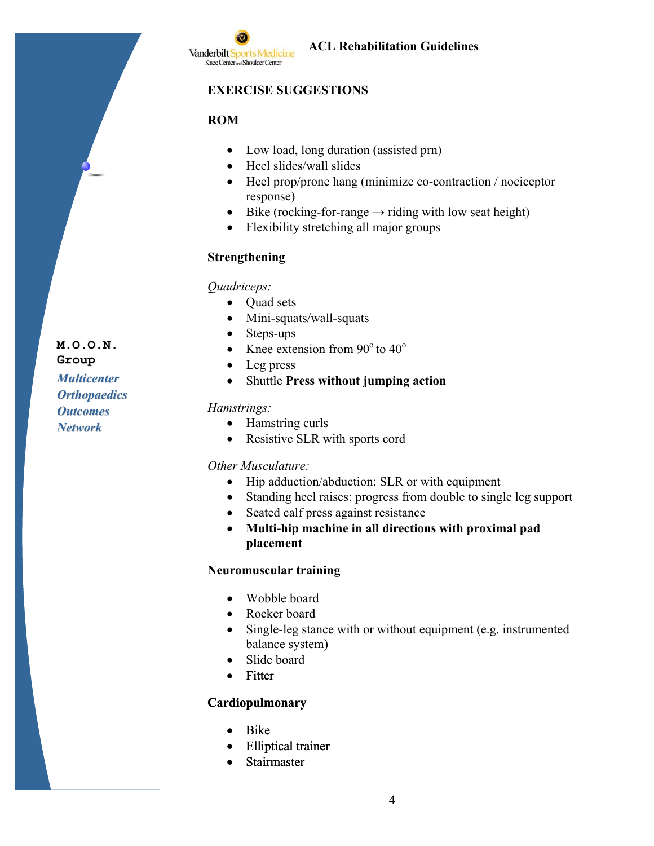

#### **EXERCISE SUGGESTIONS**

## **ROM**

- Low load, long duration (assisted prn)
- Heel slides/wall slides
- $\bullet$  Heel prop/prone hang (minimize co-contraction / nociceptor response)
- Bike (rocking-for-range  $\rightarrow$  riding with low seat height)  $\bullet$
- Flexibility stretching all major groups  $\bullet$

#### **Strengthening**

Quadriceps:

- Quad sets  $\bullet$
- Mini-squats/wall-squats
- $\bullet$ Steps-ups
- Knee extension from  $90^{\circ}$  to  $40^{\circ}$
- Leg press  $\bullet$
- $\bullet$ Shuttle Press without jumping action

#### Hamstrings:

- Hamstring curls
- Resistive SLR with sports cord

#### Other Musculature:

- $\bullet$ Hip adduction/abduction: SLR or with equipment
- Standing heel raises: progress from double to single leg support  $\bullet$
- Seated calf press against resistance  $\bullet$
- Multi-hip machine in all directions with proximal pad  $\bullet$ placement

#### **Neuromuscular training**

- Wobble board
- Rocker board
- Single-leg stance with or without equipment (e.g. instrumented  $\bullet$ balance system)
- Slide board
- Fitter

#### Cardiopulmonary

- **Bike**  $\bullet$
- **Elliptical trainer**
- Stairmaster

Group **Multicenter** 

 $M.0.0.N.$ 

**Orthopaedics Outcomes Network**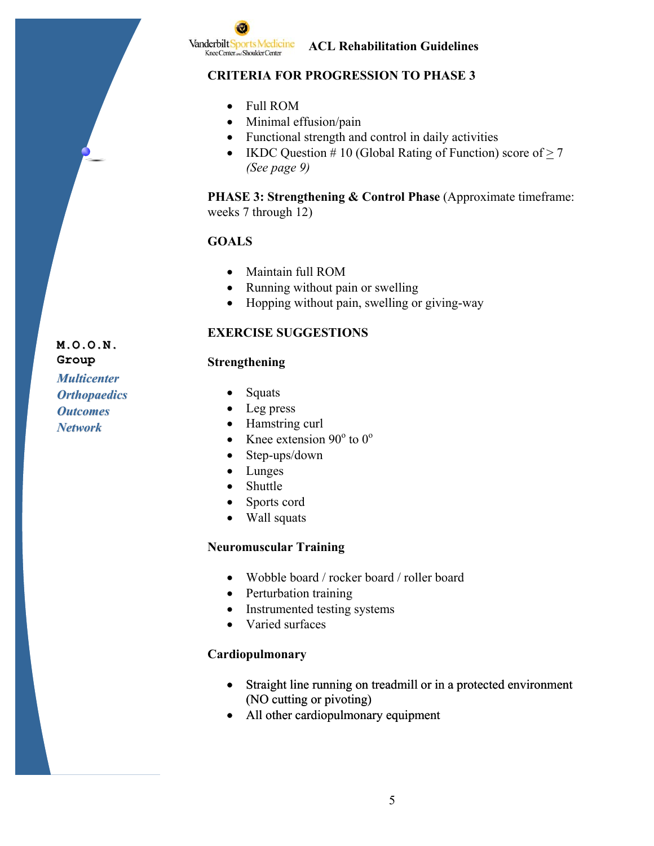**Vanderbilt Sports Medicine** Knee Center and Shoulder Center

**ACL Rehabilitation Guidelines** 

# **CRITERIA FOR PROGRESSION TO PHASE 3**

- $\bullet$  Full ROM
- Minimal effusion/pain
- Functional strength and control in daily activities
- IKDC Question #10 (Global Rating of Function) score of  $> 7$ (See page 9)

**PHASE 3: Strengthening & Control Phase** (Approximate timeframe: weeks 7 through 12)

# **GOALS**

- Maintain full ROM
- Running without pain or swelling
- Hopping without pain, swelling or giving-way

# **EXERCISE SUGGESTIONS**

## Strengthening

Group **Multicenter Orthopaedics Outcomes Network** 

M.O.O.N.

- Squats  $\bullet$
- $\bullet$  Leg press
- Hamstring curl
- Knee extension  $90^{\circ}$  to  $0^{\circ}$
- Step-ups/down  $\bullet$
- Lunges  $\bullet$
- Shuttle  $\bullet$
- Sports cord
- Wall squats

## **Neuromuscular Training**

- Wobble board / rocker board / roller board
- Perturbation training
- Instrumented testing systems
- Varied surfaces

# Cardiopulmonary

- Straight line running on treadmill or in a protected environment  $\bullet$ (NO cutting or pivoting)
- All other cardiopulmonary equipment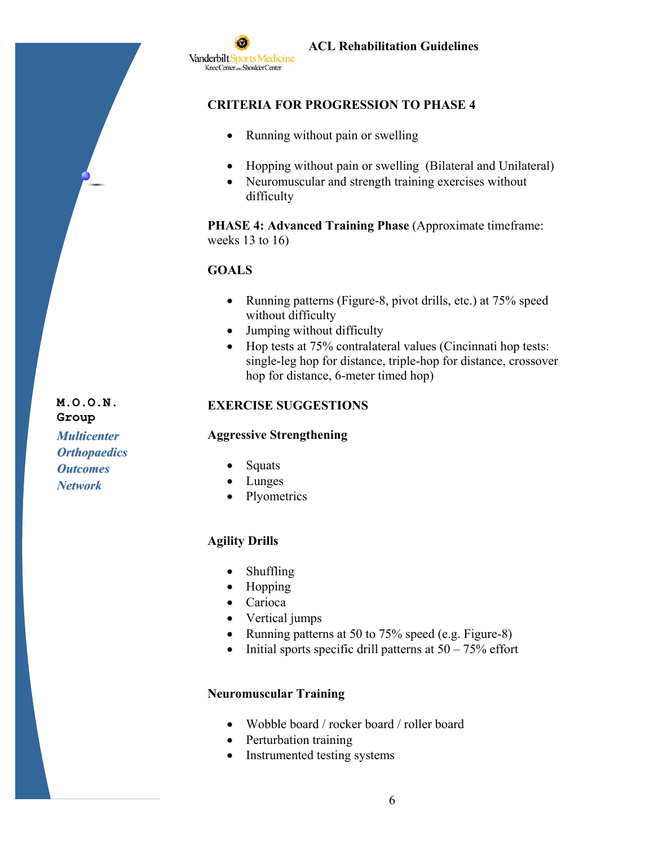

# **CRITERIA FOR PROGRESSION TO PHASE 4**

- Running without pain or swelling  $\bullet$
- Hopping without pain or swelling (Bilateral and Unilateral)  $\bullet$
- Neuromuscular and strength training exercises without difficulty

**PHASE 4: Advanced Training Phase (Approximate timeframe:** weeks  $13$  to  $16$ )

## **GOALS**

- Running patterns (Figure-8, pivot drills, etc.) at 75% speed without difficulty
- Jumping without difficulty
- Hop tests at 75% contralateral values (Cincinnati hop tests:  $\bullet$ single-leg hop for distance, triple-hop for distance, crossover hop for distance, 6-meter timed hop)

## **EXERCISE SUGGESTIONS**

#### **Aggressive Strengthening**

- **Orthopaedics Outcomes**
- **Network**

M.O.O.N.

**Multicenter** 

Group

- $\bullet$  Squats
- $\bullet$  Lunges
- Plyometrics

## **Agility Drills**

- Shuffling  $\bullet$
- $\bullet$  Hopping
- Carioca
- Vertical jumps
- Running patterns at 50 to 75% speed (e.g. Figure-8)
- Initial sports specific drill patterns at  $50 75\%$  effort  $\bullet$

#### **Neuromuscular Training**

- Wobble board / rocker board / roller board
- Perturbation training
- Instrumented testing systems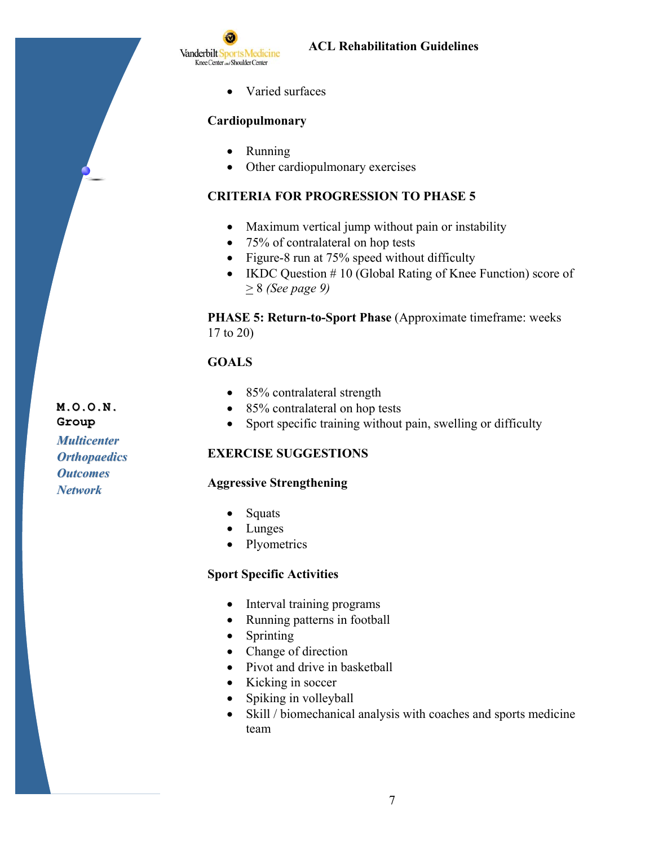

• Varied surfaces

#### Cardiopulmonary

- $\bullet$  Running
- Other cardiopulmonary exercises  $\bullet$

#### **CRITERIA FOR PROGRESSION TO PHASE 5**

- Maximum vertical jump without pain or instability
- 75% of contralateral on hop tests
- Figure-8 run at  $75\%$  speed without difficulty
- IKDC Question  $# 10$  (Global Rating of Knee Function) score of  $> 8$  (See page 9)

PHASE 5: Return-to-Sport Phase (Approximate timeframe: weeks  $17$  to  $20$ )

## **GOALS**

- 85% contralateral strength
- 85% contralateral on hop tests
- Sport specific training without pain, swelling or difficulty  $\bullet$

#### **EXERCISE SUGGESTIONS**

#### **Aggressive Strengthening**

- Squats
- $\bullet$  Lunges
- $\bullet$ Plyometrics

#### **Sport Specific Activities**

- $\bullet$ Interval training programs
- Running patterns in football
- Sprinting  $\bullet$
- Change of direction
- Pivot and drive in basketball
- Kicking in soccer  $\bullet$
- Spiking in volleyball  $\bullet$
- Skill / biomechanical analysis with coaches and sports medicine  $\bullet$ team

Group **Multicenter Orthopaedics** 

**Outcomes** 

**Network** 

M.O.O.N.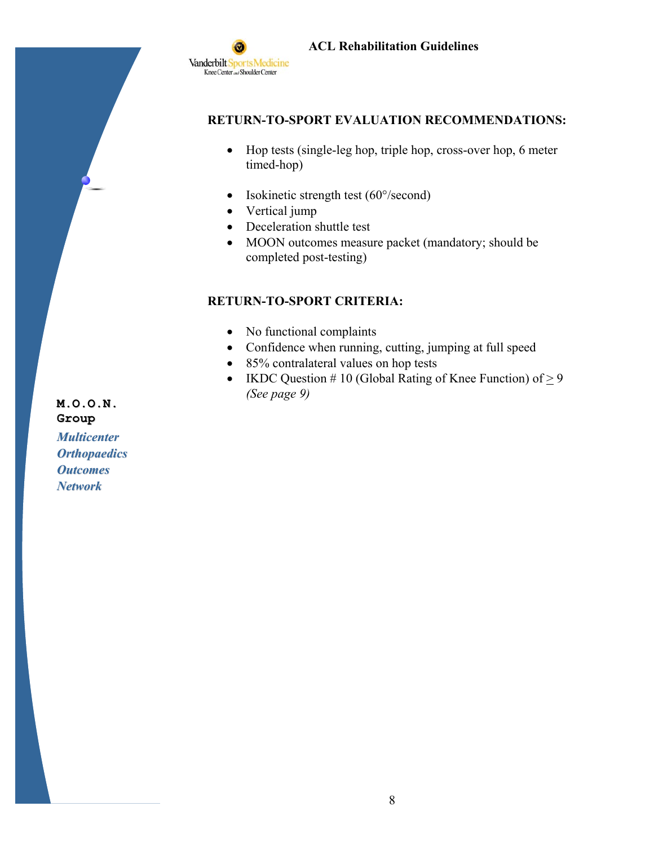

## **RETURN-TO-SPORT EVALUATION RECOMMENDATIONS:**

- Hop tests (single-leg hop, triple hop, cross-over hop, 6 meter timed-hop)
- Isokinetic strength test (60°/second)  $\bullet$
- Vertical jump  $\bullet$
- Deceleration shuttle test
- MOON outcomes measure packet (mandatory; should be  $\bullet$ completed post-testing)

## **RETURN-TO-SPORT CRITERIA:**

- No functional complaints
- Confidence when running, cutting, jumping at full speed
- 85% contralateral values on hop tests
- IKDC Question #10 (Global Rating of Knee Function) of  $\geq 9$ (See page 9)

 $M, O, O, N$ . Group **Multicenter Orthopaedics Outcomes Network**